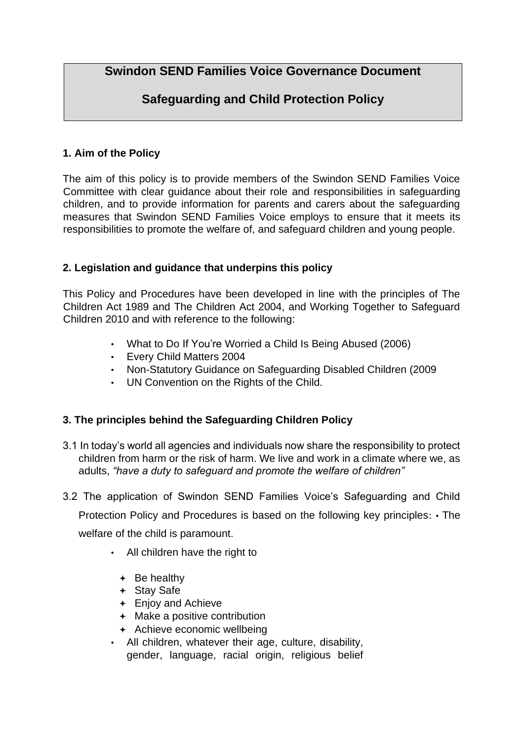**Swindon SEND Families Voice Governance Document** 

# **Safeguarding and Child Protection Policy**

# **1. Aim of the Policy**

The aim of this policy is to provide members of the Swindon SEND Families Voice Committee with clear guidance about their role and responsibilities in safeguarding children, and to provide information for parents and carers about the safeguarding measures that Swindon SEND Families Voice employs to ensure that it meets its responsibilities to promote the welfare of, and safeguard children and young people.

# **2. Legislation and guidance that underpins this policy**

This Policy and Procedures have been developed in line with the principles of The Children Act 1989 and The Children Act 2004, and Working Together to Safeguard Children 2010 and with reference to the following:

- What to Do If You're Worried a Child Is Being Abused (2006)
- Every Child Matters 2004
- Non-Statutory Guidance on Safeguarding Disabled Children (2009
- UN Convention on the Rights of the Child.

## **3. The principles behind the Safeguarding Children Policy**

- 3.1 In today's world all agencies and individuals now share the responsibility to protect children from harm or the risk of harm. We live and work in a climate where we, as adults, *"have a duty to safeguard and promote the welfare of children"*
- 3.2 The application of Swindon SEND Families Voice's Safeguarding and Child Protection Policy and Procedures is based on the following key principles: • The welfare of the child is paramount.
	- All children have the right to
		- $\div$  Be healthy
		- + Stay Safe
		- Enjoy and Achieve
		- + Make a positive contribution
		- + Achieve economic wellbeing
	- All children, whatever their age, culture, disability, gender, language, racial origin, religious belief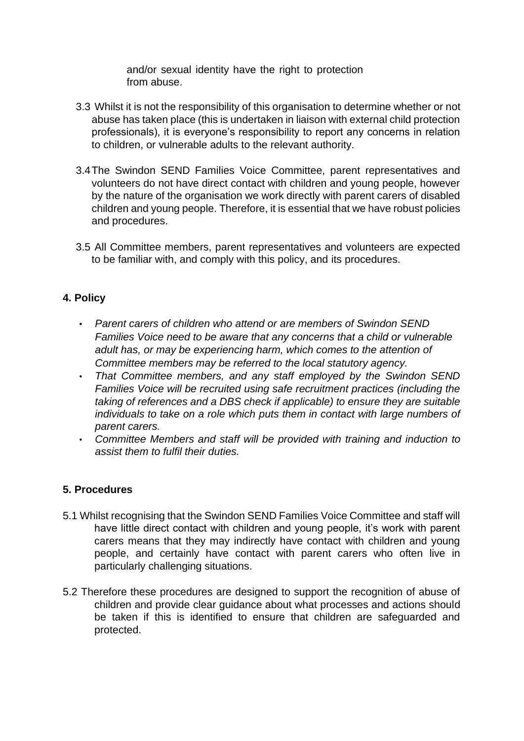and/or sexual identity have the right to protection from abuse.

- 3.3 Whilst it is not the responsibility of this organisation to determine whether or not abuse has taken place (this is undertaken in liaison with external child protection professionals), it is everyone's responsibility to report any concerns in relation to children, or vulnerable adults to the relevant authority.
- 3.4The Swindon SEND Families Voice Committee, parent representatives and volunteers do not have direct contact with children and young people, however by the nature of the organisation we work directly with parent carers of disabled children and young people. Therefore, it is essential that we have robust policies and procedures.
- 3.5 All Committee members, parent representatives and volunteers are expected to be familiar with, and comply with this policy, and its procedures.

### **4. Policy**

- *Parent carers of children who attend or are members of Swindon SEND Families Voice need to be aware that any concerns that a child or vulnerable adult has, or may be experiencing harm, which comes to the attention of Committee members may be referred to the local statutory agency.*
- *That Committee members, and any staff employed by the Swindon SEND Families Voice will be recruited using safe recruitment practices (including the taking of references and a DBS check if applicable) to ensure they are suitable individuals to take on a role which puts them in contact with large numbers of parent carers.*
- *Committee Members and staff will be provided with training and induction to assist them to fulfil their duties.*

### **5. Procedures**

- 5.1 Whilst recognising that the Swindon SEND Families Voice Committee and staff will have little direct contact with children and young people, it's work with parent carers means that they may indirectly have contact with children and young people, and certainly have contact with parent carers who often live in particularly challenging situations.
- 5.2 Therefore these procedures are designed to support the recognition of abuse of children and provide clear guidance about what processes and actions should be taken if this is identified to ensure that children are safeguarded and protected.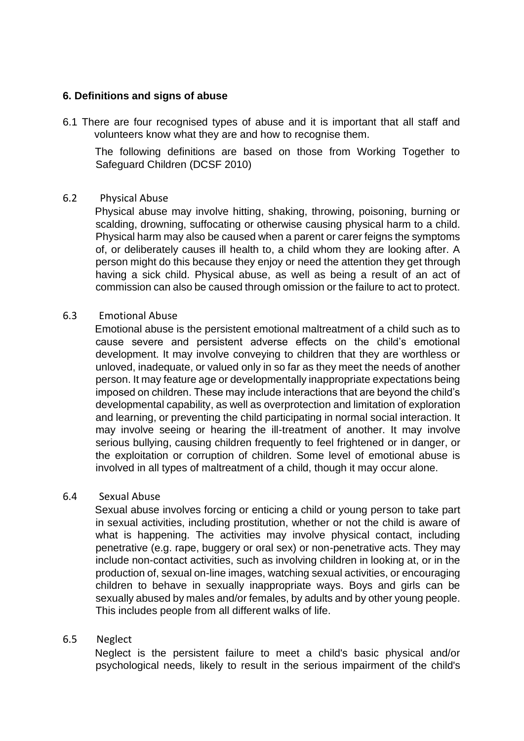#### **6. Definitions and signs of abuse**

6.1 There are four recognised types of abuse and it is important that all staff and volunteers know what they are and how to recognise them.

The following definitions are based on those from Working Together to Safeguard Children (DCSF 2010)

#### 6.2 Physical Abuse

Physical abuse may involve hitting, shaking, throwing, poisoning, burning or scalding, drowning, suffocating or otherwise causing physical harm to a child. Physical harm may also be caused when a parent or carer feigns the symptoms of, or deliberately causes ill health to, a child whom they are looking after. A person might do this because they enjoy or need the attention they get through having a sick child. Physical abuse, as well as being a result of an act of commission can also be caused through omission or the failure to act to protect.

#### 6.3 Emotional Abuse

Emotional abuse is the persistent emotional maltreatment of a child such as to cause severe and persistent adverse effects on the child's emotional development. It may involve conveying to children that they are worthless or unloved, inadequate, or valued only in so far as they meet the needs of another person. It may feature age or developmentally inappropriate expectations being imposed on children. These may include interactions that are beyond the child's developmental capability, as well as overprotection and limitation of exploration and learning, or preventing the child participating in normal social interaction. It may involve seeing or hearing the ill-treatment of another. It may involve serious bullying, causing children frequently to feel frightened or in danger, or the exploitation or corruption of children. Some level of emotional abuse is involved in all types of maltreatment of a child, though it may occur alone.

#### 6.4 Sexual Abuse

Sexual abuse involves forcing or enticing a child or young person to take part in sexual activities, including prostitution, whether or not the child is aware of what is happening. The activities may involve physical contact, including penetrative (e.g. rape, buggery or oral sex) or non-penetrative acts. They may include non-contact activities, such as involving children in looking at, or in the production of, sexual on-line images, watching sexual activities, or encouraging children to behave in sexually inappropriate ways. Boys and girls can be sexually abused by males and/or females, by adults and by other young people. This includes people from all different walks of life.

#### 6.5 Neglect

Neglect is the persistent failure to meet a child's basic physical and/or psychological needs, likely to result in the serious impairment of the child's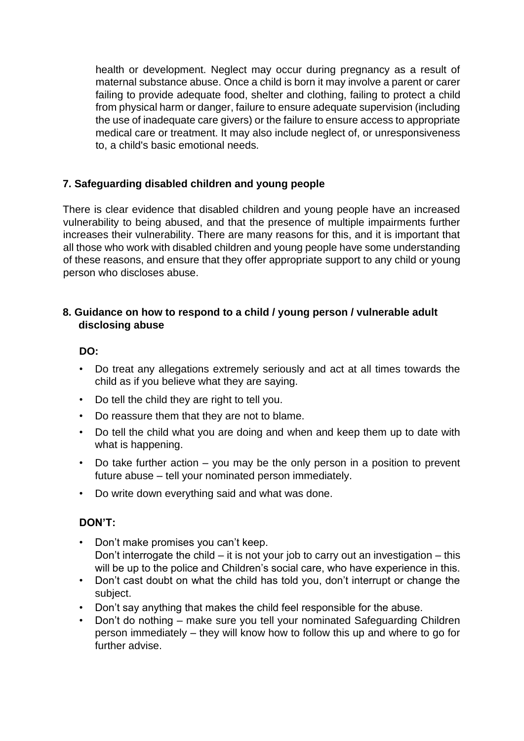health or development. Neglect may occur during pregnancy as a result of maternal substance abuse. Once a child is born it may involve a parent or carer failing to provide adequate food, shelter and clothing, failing to protect a child from physical harm or danger, failure to ensure adequate supervision (including the use of inadequate care givers) or the failure to ensure access to appropriate medical care or treatment. It may also include neglect of, or unresponsiveness to, a child's basic emotional needs.

### **7. Safeguarding disabled children and young people**

There is clear evidence that disabled children and young people have an increased vulnerability to being abused, and that the presence of multiple impairments further increases their vulnerability. There are many reasons for this, and it is important that all those who work with disabled children and young people have some understanding of these reasons, and ensure that they offer appropriate support to any child or young person who discloses abuse.

### **8. Guidance on how to respond to a child / young person / vulnerable adult disclosing abuse**

#### **DO:**

- Do treat any allegations extremely seriously and act at all times towards the child as if you believe what they are saying.
- Do tell the child they are right to tell you.
- Do reassure them that they are not to blame.
- Do tell the child what you are doing and when and keep them up to date with what is happening.
- Do take further action you may be the only person in a position to prevent future abuse – tell your nominated person immediately.
- Do write down everything said and what was done.

### **DON'T:**

- Don't make promises you can't keep. Don't interrogate the child  $-$  it is not your job to carry out an investigation  $-$  this will be up to the police and Children's social care, who have experience in this.
- Don't cast doubt on what the child has told you, don't interrupt or change the subject.
- Don't say anything that makes the child feel responsible for the abuse.
- Don't do nothing make sure you tell your nominated Safeguarding Children person immediately – they will know how to follow this up and where to go for further advise.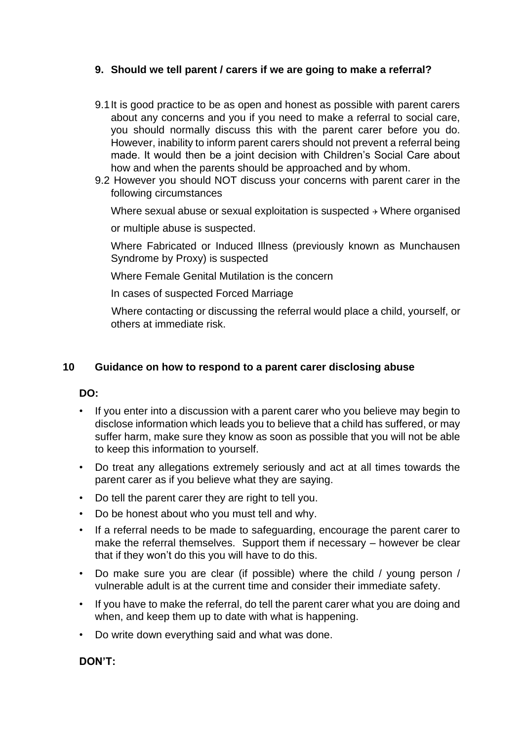### **9. Should we tell parent / carers if we are going to make a referral?**

- 9.1It is good practice to be as open and honest as possible with parent carers about any concerns and you if you need to make a referral to social care, you should normally discuss this with the parent carer before you do. However, inability to inform parent carers should not prevent a referral being made. It would then be a joint decision with Children's Social Care about how and when the parents should be approached and by whom.
- 9.2 However you should NOT discuss your concerns with parent carer in the following circumstances

Where sexual abuse or sexual exploitation is suspected  $\rightarrow$  Where organised or multiple abuse is suspected.

Where Fabricated or Induced Illness (previously known as Munchausen Syndrome by Proxy) is suspected

Where Female Genital Mutilation is the concern

In cases of suspected Forced Marriage

Where contacting or discussing the referral would place a child, yourself, or others at immediate risk.

### **10 Guidance on how to respond to a parent carer disclosing abuse**

### **DO:**

- If you enter into a discussion with a parent carer who you believe may begin to disclose information which leads you to believe that a child has suffered, or may suffer harm, make sure they know as soon as possible that you will not be able to keep this information to yourself.
- Do treat any allegations extremely seriously and act at all times towards the parent carer as if you believe what they are saying.
- Do tell the parent carer they are right to tell you.
- Do be honest about who you must tell and why.
- If a referral needs to be made to safeguarding, encourage the parent carer to make the referral themselves. Support them if necessary – however be clear that if they won't do this you will have to do this.
- Do make sure you are clear (if possible) where the child / young person / vulnerable adult is at the current time and consider their immediate safety.
- If you have to make the referral, do tell the parent carer what you are doing and when, and keep them up to date with what is happening.
- Do write down everything said and what was done.

### **DON'T:**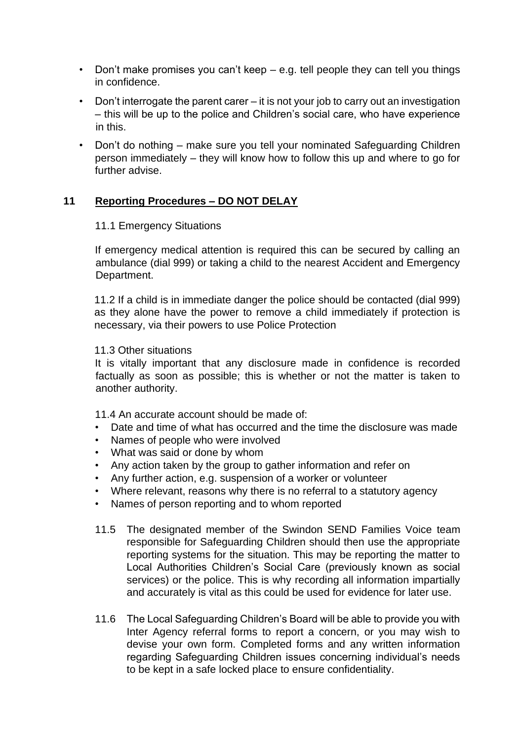- Don't make promises you can't keep e.g. tell people they can tell you things in confidence.
- Don't interrogate the parent carer it is not your job to carry out an investigation – this will be up to the police and Children's social care, who have experience in this.
- Don't do nothing make sure you tell your nominated Safeguarding Children person immediately – they will know how to follow this up and where to go for further advise.

#### **11 Reporting Procedures – DO NOT DELAY**

#### 11.1 Emergency Situations

If emergency medical attention is required this can be secured by calling an ambulance (dial 999) or taking a child to the nearest Accident and Emergency Department.

11.2 If a child is in immediate danger the police should be contacted (dial 999) as they alone have the power to remove a child immediately if protection is necessary, via their powers to use Police Protection

#### 11.3 Other situations

It is vitally important that any disclosure made in confidence is recorded factually as soon as possible; this is whether or not the matter is taken to another authority.

11.4 An accurate account should be made of:

- Date and time of what has occurred and the time the disclosure was made
- Names of people who were involved
- What was said or done by whom
- Any action taken by the group to gather information and refer on
- Any further action, e.g. suspension of a worker or volunteer
- Where relevant, reasons why there is no referral to a statutory agency
- Names of person reporting and to whom reported
- 11.5 The designated member of the Swindon SEND Families Voice team responsible for Safeguarding Children should then use the appropriate reporting systems for the situation. This may be reporting the matter to Local Authorities Children's Social Care (previously known as social services) or the police. This is why recording all information impartially and accurately is vital as this could be used for evidence for later use.
- 11.6 The Local Safeguarding Children's Board will be able to provide you with Inter Agency referral forms to report a concern, or you may wish to devise your own form. Completed forms and any written information regarding Safeguarding Children issues concerning individual's needs to be kept in a safe locked place to ensure confidentiality.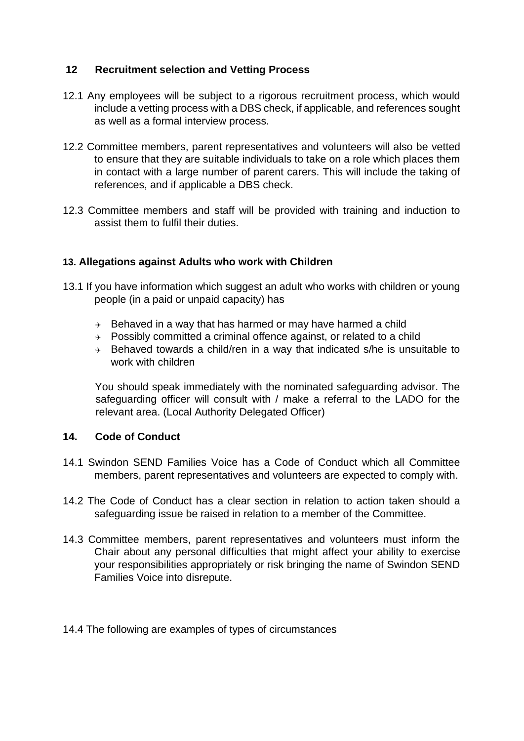### **12 Recruitment selection and Vetting Process**

- 12.1 Any employees will be subject to a rigorous recruitment process, which would include a vetting process with a DBS check, if applicable, and references sought as well as a formal interview process.
- 12.2 Committee members, parent representatives and volunteers will also be vetted to ensure that they are suitable individuals to take on a role which places them in contact with a large number of parent carers. This will include the taking of references, and if applicable a DBS check.
- 12.3 Committee members and staff will be provided with training and induction to assist them to fulfil their duties.

### **13. Allegations against Adults who work with Children**

- 13.1 If you have information which suggest an adult who works with children or young people (in a paid or unpaid capacity) has
	- $\rightarrow$  Behaved in a way that has harmed or may have harmed a child
	- $\rightarrow$  Possibly committed a criminal offence against, or related to a child
	- $\rightarrow$  Behaved towards a child/ren in a way that indicated s/he is unsuitable to work with children

You should speak immediately with the nominated safeguarding advisor. The safeguarding officer will consult with / make a referral to the LADO for the relevant area. (Local Authority Delegated Officer)

#### **14. Code of Conduct**

- 14.1 Swindon SEND Families Voice has a Code of Conduct which all Committee members, parent representatives and volunteers are expected to comply with.
- 14.2 The Code of Conduct has a clear section in relation to action taken should a safeguarding issue be raised in relation to a member of the Committee.
- 14.3 Committee members, parent representatives and volunteers must inform the Chair about any personal difficulties that might affect your ability to exercise your responsibilities appropriately or risk bringing the name of Swindon SEND Families Voice into disrepute.
- 14.4 The following are examples of types of circumstances